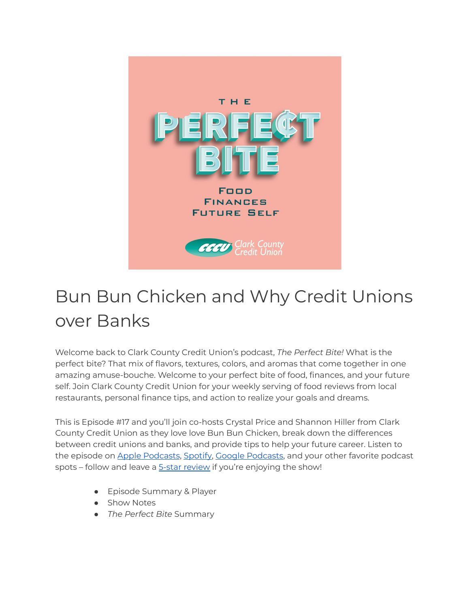

## Bun Bun Chicken and Why Credit Unions over Banks

Welcome back to Clark County Credit Union's podcast, *The Perfect Bite!* What is the perfect bite? That mix of flavors, textures, colors, and aromas that come together in one amazing amuse-bouche. Welcome to your perfect bite of food, finances, and your future self. Join Clark County Credit Union for your weekly serving of food reviews from local restaurants, personal finance tips, and action to realize your goals and dreams.

This is Episode #17 and you'll join co-hosts Crystal Price and Shannon Hiller from Clark County Credit Union as they love love Bun Bun Chicken, break down the differences between credit unions and banks, and provide tips to help your future career. Listen to the episode on Apple [Podcasts](https://podcasts.google.com/feed/aHR0cHM6Ly9wZXJmZWN0Yml0ZS5saWJzeW4uY29tL3Jzcw?sa=X&ved=0CAMQ4aUDahcKEwi47ZHlgPP1AhUAAAAAHQAAAAAQRA), [Spotify](https://open.spotify.com/show/7tNPJZBNHabGWEFmjnHaxR?si=a0a7808911264628), Google Podcasts, and your other favorite podcast spots – follow and leave a 5-star [review](https://podcasts.apple.com/us/podcast/the-perfect-bite/id1604656448) if you're enjoying the show!

- Episode Summary & Player
- Show Notes
- *The Perfect Bite* Summary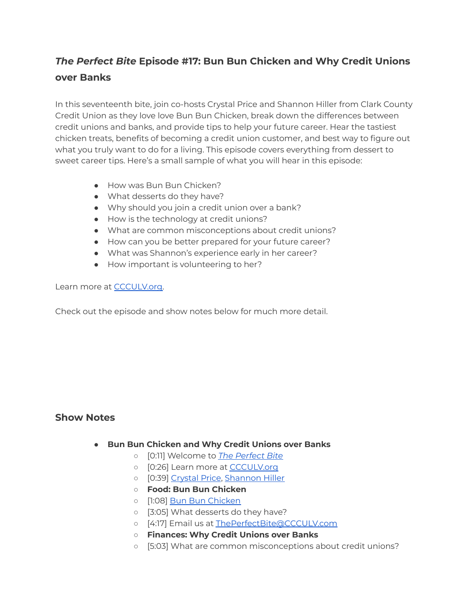## *The Perfect Bite* **Episode #17: Bun Bun Chicken and Why Credit Unions over Banks**

In this seventeenth bite, join co-hosts Crystal Price and Shannon Hiller from Clark County Credit Union as they love love Bun Bun Chicken, break down the differences between credit unions and banks, and provide tips to help your future career. Hear the tastiest chicken treats, benefits of becoming a credit union customer, and best way to figure out what you truly want to do for a living. This episode covers everything from dessert to sweet career tips. Here's a small sample of what you will hear in this episode:

- How was Bun Bun Chicken?
- What desserts do they have?
- Why should you join a credit union over a bank?
- How is the technology at credit unions?
- What are common misconceptions about credit unions?
- How can you be better prepared for your future career?
- What was Shannon's experience early in her career?
- How important is volunteering to her?

Learn more at [CCCULV.org.](https://www.ccculv.org/)

Check out the episode and show notes below for much more detail.

## **Show Notes**

- **Bun Bun Chicken and Why Credit Unions over Banks**
	- [0:11] Welcome to *[The Perfect Bite](https://www.ccculv.org/)*
	- o [0:26] Learn more at [CCCULV.org](https://www.ccculv.org/)
	- [0:39] [Crystal Price](https://www.ccculv.org/Our-Mission.aspx), [Shannon Hiller](https://www.ccculv.org/Our-Mission.aspx)
	- **○ Food: Bun Bun Chicken**
	- [1:08] [Bun Bun Chicken](https://bunbunchicken.thefoodygram.com/)
	- [3:05] What desserts do they have?
	- o [4:17] Email us at [ThePerfectBite@CCCULV.com](mailto:ThePerfectBite@CCCULV.org)
	- **○ Finances: Why Credit Unions over Banks**
	- [5:03] What are common misconceptions about credit unions?